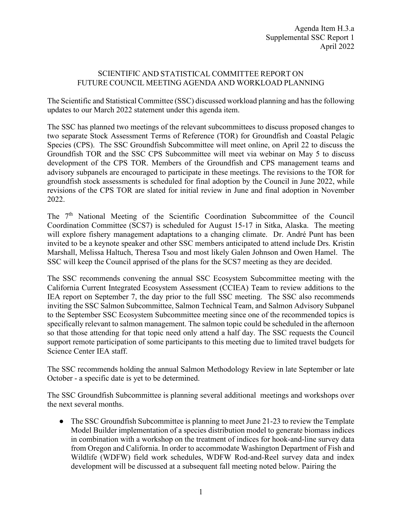## SCIENTIFIC AND STATISTICAL COMMITTEE REPORT ON FUTURE COUNCIL MEETING AGENDA AND WORKLOAD PLANNING

The Scientific and Statistical Committee (SSC) discussed workload planning and has the following updates to our March 2022 statement under this agenda item.

The SSC has planned two meetings of the relevant subcommittees to discuss proposed changes to two separate Stock Assessment Terms of Reference (TOR) for Groundfish and Coastal Pelagic Species (CPS). The SSC Groundfish Subcommittee will meet online, on April 22 to discuss the Groundfish TOR and the SSC CPS Subcommittee will meet via webinar on May 5 to discuss development of the CPS TOR. Members of the Groundfish and CPS management teams and advisory subpanels are encouraged to participate in these meetings. The revisions to the TOR for groundfish stock assessments is scheduled for final adoption by the Council in June 2022, while revisions of the CPS TOR are slated for initial review in June and final adoption in November 2022.

The 7<sup>th</sup> National Meeting of the Scientific Coordination Subcommittee of the Council Coordination Committee (SCS7) is scheduled for August 15-17 in Sitka, Alaska. The meeting will explore fishery management adaptations to a changing climate. Dr. André Punt has been invited to be a keynote speaker and other SSC members anticipated to attend include Drs. Kristin Marshall, Melissa Haltuch, Theresa Tsou and most likely Galen Johnson and Owen Hamel. The SSC will keep the Council apprised of the plans for the SCS7 meeting as they are decided.

The SSC recommends convening the annual SSC Ecosystem Subcommittee meeting with the California Current Integrated Ecosystem Assessment (CCIEA) Team to review additions to the IEA report on September 7, the day prior to the full SSC meeting. The SSC also recommends inviting the SSC Salmon Subcommittee, Salmon Technical Team, and Salmon Advisory Subpanel to the September SSC Ecosystem Subcommittee meeting since one of the recommended topics is specifically relevant to salmon management. The salmon topic could be scheduled in the afternoon so that those attending for that topic need only attend a half day. The SSC requests the Council support remote participation of some participants to this meeting due to limited travel budgets for Science Center IEA staff.

The SSC recommends holding the annual Salmon Methodology Review in late September or late October - a specific date is yet to be determined.

The SSC Groundfish Subcommittee is planning several additional meetings and workshops over the next several months.

• The SSC Groundfish Subcommittee is planning to meet June 21-23 to review the Template Model Builder implementation of a species distribution model to generate biomass indices in combination with a workshop on the treatment of indices for hook-and-line survey data from Oregon and California. In order to accommodate Washington Department of Fish and Wildlife (WDFW) field work schedules, WDFW Rod-and-Reel survey data and index development will be discussed at a subsequent fall meeting noted below. Pairing the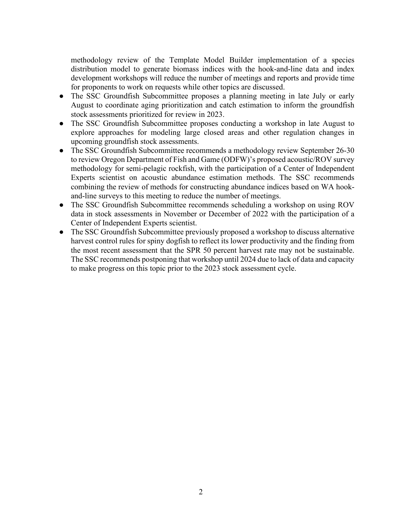methodology review of the Template Model Builder implementation of a species distribution model to generate biomass indices with the hook-and-line data and index development workshops will reduce the number of meetings and reports and provide time for proponents to work on requests while other topics are discussed.

- The SSC Groundfish Subcommittee proposes a planning meeting in late July or early August to coordinate aging prioritization and catch estimation to inform the groundfish stock assessments prioritized for review in 2023.
- The SSC Groundfish Subcommittee proposes conducting a workshop in late August to explore approaches for modeling large closed areas and other regulation changes in upcoming groundfish stock assessments.
- The SSC Groundfish Subcommittee recommends a methodology review September 26-30 to review Oregon Department of Fish and Game (ODFW)'s proposed acoustic/ROV survey methodology for semi-pelagic rockfish, with the participation of a Center of Independent Experts scientist on acoustic abundance estimation methods. The SSC recommends combining the review of methods for constructing abundance indices based on WA hookand-line surveys to this meeting to reduce the number of meetings.
- The SSC Groundfish Subcommittee recommends scheduling a workshop on using ROV data in stock assessments in November or December of 2022 with the participation of a Center of Independent Experts scientist.
- The SSC Groundfish Subcommittee previously proposed a workshop to discuss alternative harvest control rules for spiny dogfish to reflect its lower productivity and the finding from the most recent assessment that the SPR 50 percent harvest rate may not be sustainable. The SSC recommends postponing that workshop until 2024 due to lack of data and capacity to make progress on this topic prior to the 2023 stock assessment cycle.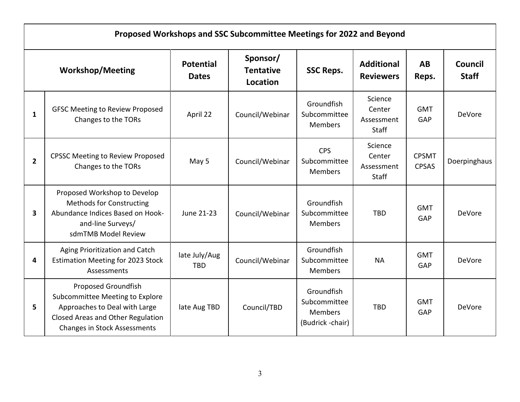| Proposed Workshops and SSC Subcommittee Meetings for 2022 and Beyond |                                                                                                                                                                     |                                  |                                          |                                                                  |                                                 |                              |                         |  |  |  |
|----------------------------------------------------------------------|---------------------------------------------------------------------------------------------------------------------------------------------------------------------|----------------------------------|------------------------------------------|------------------------------------------------------------------|-------------------------------------------------|------------------------------|-------------------------|--|--|--|
| <b>Workshop/Meeting</b>                                              |                                                                                                                                                                     | <b>Potential</b><br><b>Dates</b> | Sponsor/<br><b>Tentative</b><br>Location | <b>SSC Reps.</b>                                                 | <b>Additional</b><br><b>Reviewers</b>           | AB<br>Reps.                  | Council<br><b>Staff</b> |  |  |  |
| 1                                                                    | <b>GFSC Meeting to Review Proposed</b><br>Changes to the TORs                                                                                                       | April 22                         | Council/Webinar                          | Groundfish<br>Subcommittee<br><b>Members</b>                     | Science<br>Center<br>Assessment<br>Staff        | <b>GMT</b><br>GAP            | <b>DeVore</b>           |  |  |  |
| $2^{\circ}$                                                          | <b>CPSSC Meeting to Review Proposed</b><br>Changes to the TORs                                                                                                      | May 5                            | Council/Webinar                          | <b>CPS</b><br>Subcommittee<br><b>Members</b>                     | Science<br>Center<br>Assessment<br><b>Staff</b> | <b>CPSMT</b><br><b>CPSAS</b> | Doerpinghaus            |  |  |  |
| 3                                                                    | Proposed Workshop to Develop<br><b>Methods for Constructing</b><br>Abundance Indices Based on Hook-<br>and-line Surveys/<br>sdmTMB Model Review                     | June 21-23                       | Council/Webinar                          | Groundfish<br>Subcommittee<br><b>Members</b>                     | <b>TBD</b>                                      | <b>GMT</b><br>GAP            | <b>DeVore</b>           |  |  |  |
| 4                                                                    | Aging Prioritization and Catch<br><b>Estimation Meeting for 2023 Stock</b><br>Assessments                                                                           | late July/Aug<br><b>TBD</b>      | Council/Webinar                          | Groundfish<br>Subcommittee<br><b>Members</b>                     | <b>NA</b>                                       | <b>GMT</b><br>GAP            | DeVore                  |  |  |  |
| 5                                                                    | Proposed Groundfish<br>Subcommittee Meeting to Explore<br>Approaches to Deal with Large<br>Closed Areas and Other Regulation<br><b>Changes in Stock Assessments</b> | late Aug TBD                     | Council/TBD                              | Groundfish<br>Subcommittee<br><b>Members</b><br>(Budrick -chair) | <b>TBD</b>                                      | <b>GMT</b><br>GAP            | <b>DeVore</b>           |  |  |  |